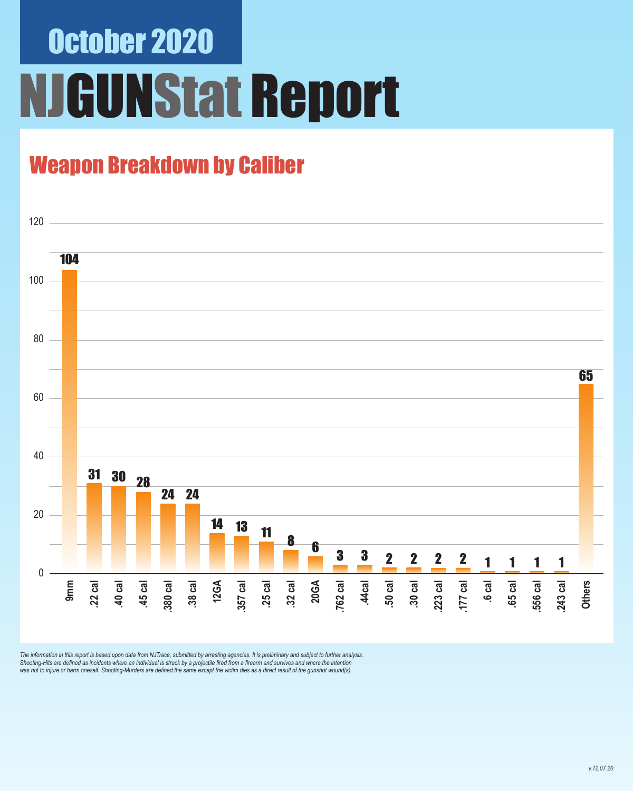# October 2020 **GUNStat Report**

### Weapon Breakdown by Caliber



The information in this report is based upon data from NJTrace, submitted by arresting agencies. It is preliminary and subject to further analysis.<br>Shooting-Hits are defined as incidents where an individual is struck by a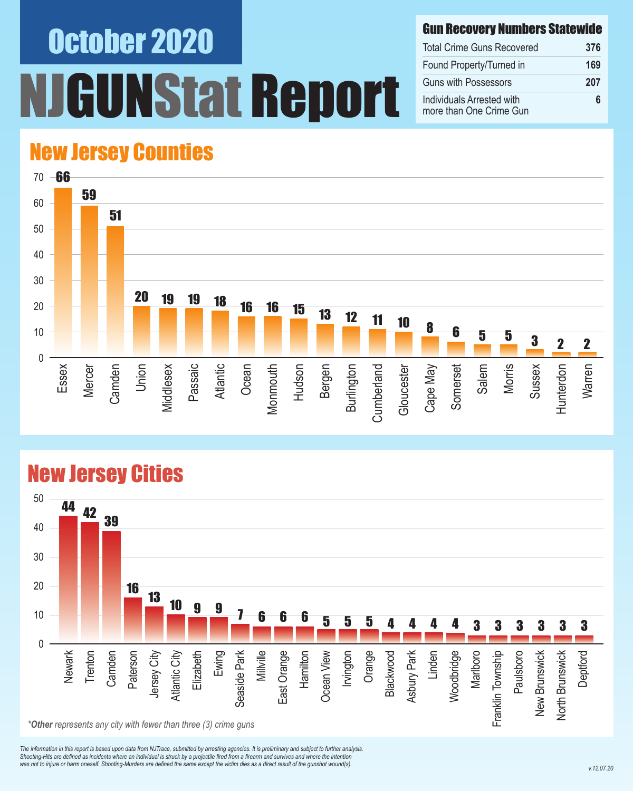# October 2020 UNStat Report

#### Gun Recovery Numbers Statewide

| <b>Total Crime Guns Recovered</b>                    | 376 |
|------------------------------------------------------|-----|
| Found Property/Turned in                             | 169 |
| <b>Guns with Possessors</b>                          | 207 |
| Individuals Arrested with<br>more than One Crime Gun | Ⴌ   |

### New Jersey Counties



#### New Jersey Cities



*The information in this report is based upon data from NJTrace, submitted by arresting agencies. It is preliminary and subject to further analysis. Shooting-Hits are defined as incidents where an individual is struck by a projectile fired from a firearm and survives and where the intention*  was not to injure or harm oneself. Shooting-Murders are defined the same except the victim dies as a direct result of the gunshot wound(s).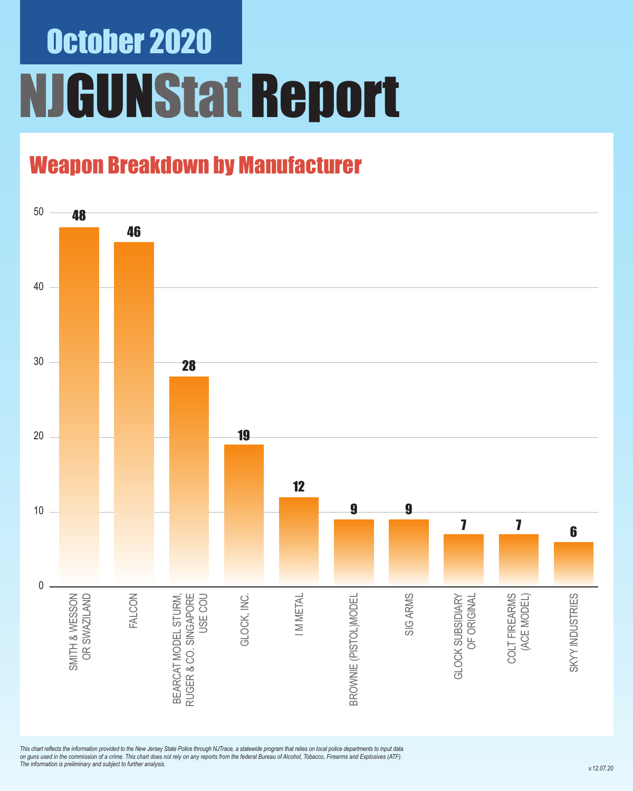# October 2020 NJGUNStat Report

### Weapon Breakdown by Manufacturer



*This chart reflects the information provided to the New Jersey State Police through NJTrace, a statewide program that relies on local police departments to input data on guns used in the commission of a crime. This chart does not rely on any reports from the federal Bureau of Alcohol, Tobacco, Firearms and Explosives (ATF). The information is preliminary and subject to further analysis.*